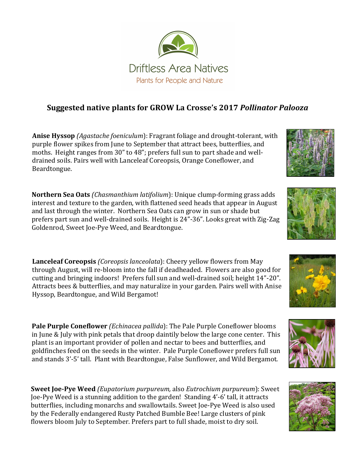

## **Suggested native plants for GROW La Crosse's 2017** *Pollinator Palooza*

**Anise Hyssop** *(Agastache foeniculum*): Fragrant foliage and drought-tolerant, with purple flower spikes from June to September that attract bees, butterflies, and moths. Height ranges from 30" to 48"; prefers full sun to part shade and welldrained soils. Pairs well with Lanceleaf Coreopsis, Orange Coneflower, and Beardtongue.

**Northern Sea Oats** *(Chasmanthium latifolium*): Unique clump-forming grass adds interest and texture to the garden, with flattened seed heads that appear in August and last through the winter. Northern Sea Oats can grow in sun or shade but prefers part sun and well-drained soils. Height is 24"-36". Looks great with Zig-Zag Goldenrod, Sweet Joe-Pye Weed, and Beardtongue.

**Lanceleaf Coreopsis** *(Coreopsis lanceolata*): Cheery yellow flowers from May through August, will re-bloom into the fall if deadheaded. Flowers are also good for cutting and bringing indoors! Prefers full sun and well-drained soil; height 14"-20". Attracts bees & butterflies, and may naturalize in your garden. Pairs well with Anise Hyssop, Beardtongue, and Wild Bergamot!

**Pale Purple Coneflower** *(Echinacea pallida*): The Pale Purple Coneflower blooms in June & July with pink petals that droop daintily below the large cone center. This plant is an important provider of pollen and nectar to bees and butterflies, and goldfinches feed on the seeds in the winter. Pale Purple Coneflower prefers full sun and stands 3'-5' tall. Plant with Beardtongue, False Sunflower, and Wild Bergamot.

**Sweet Joe-Pye Weed** *(Eupatorium purpureum,* also *Eutrochium purpureum*): Sweet Joe-Pye Weed is a stunning addition to the garden! Standing 4'-6' tall, it attracts butterflies, including monarchs and swallowtails. Sweet Joe-Pye Weed is also used by the Federally endangered Rusty Patched Bumble Bee! Large clusters of pink flowers bloom July to September. Prefers part to full shade, moist to dry soil.